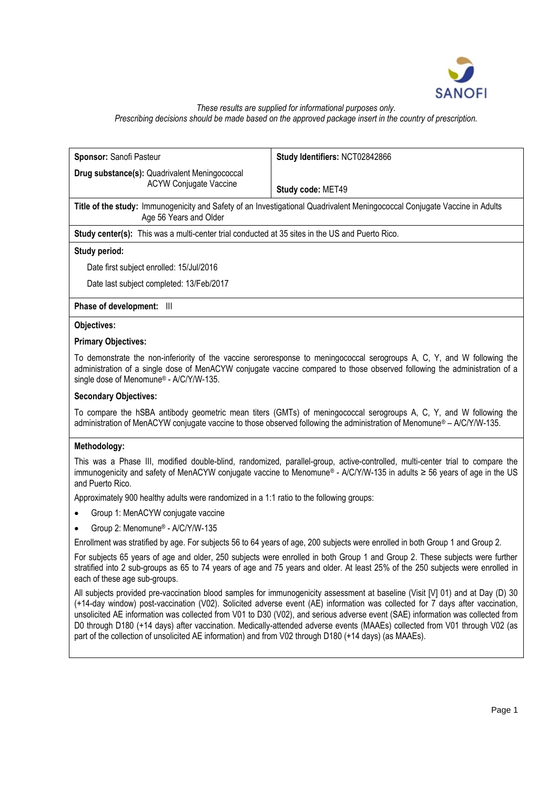

# *These results are supplied for informational purposes only. Prescribing decisions should be made based on the approved package insert in the country of prescription.*

| Sponsor: Sanofi Pasteur                                                                                                                                                                                                                                                                         | Study Identifiers: NCT02842866                                                                                                                                                                                                                                                                                                                                                                    |
|-------------------------------------------------------------------------------------------------------------------------------------------------------------------------------------------------------------------------------------------------------------------------------------------------|---------------------------------------------------------------------------------------------------------------------------------------------------------------------------------------------------------------------------------------------------------------------------------------------------------------------------------------------------------------------------------------------------|
| Drug substance(s): Quadrivalent Meningococcal                                                                                                                                                                                                                                                   |                                                                                                                                                                                                                                                                                                                                                                                                   |
| <b>ACYW Conjugate Vaccine</b>                                                                                                                                                                                                                                                                   | Study code: MET49                                                                                                                                                                                                                                                                                                                                                                                 |
| Title of the study: Immunogenicity and Safety of an Investigational Quadrivalent Meningococcal Conjugate Vaccine in Adults<br>Age 56 Years and Older                                                                                                                                            |                                                                                                                                                                                                                                                                                                                                                                                                   |
| Study center(s): This was a multi-center trial conducted at 35 sites in the US and Puerto Rico.                                                                                                                                                                                                 |                                                                                                                                                                                                                                                                                                                                                                                                   |
| Study period:                                                                                                                                                                                                                                                                                   |                                                                                                                                                                                                                                                                                                                                                                                                   |
| Date first subject enrolled: 15/Jul/2016                                                                                                                                                                                                                                                        |                                                                                                                                                                                                                                                                                                                                                                                                   |
| Date last subject completed: 13/Feb/2017                                                                                                                                                                                                                                                        |                                                                                                                                                                                                                                                                                                                                                                                                   |
| Phase of development: III                                                                                                                                                                                                                                                                       |                                                                                                                                                                                                                                                                                                                                                                                                   |
| Objectives:                                                                                                                                                                                                                                                                                     |                                                                                                                                                                                                                                                                                                                                                                                                   |
| <b>Primary Objectives:</b>                                                                                                                                                                                                                                                                      |                                                                                                                                                                                                                                                                                                                                                                                                   |
| To demonstrate the non-inferiority of the vaccine seroresponse to meningococcal serogroups A, C, Y, and W following the<br>administration of a single dose of MenACYW conjugate vaccine compared to those observed following the administration of a<br>single dose of Menomune® - A/C/Y/W-135. |                                                                                                                                                                                                                                                                                                                                                                                                   |
| <b>Secondary Objectives:</b>                                                                                                                                                                                                                                                                    |                                                                                                                                                                                                                                                                                                                                                                                                   |
| To compare the hSBA antibody geometric mean titers (GMTs) of meningococcal serogroups A, C, Y, and W following the<br>administration of MenACYW conjugate vaccine to those observed following the administration of Menomune® - A/C/Y/W-135.                                                    |                                                                                                                                                                                                                                                                                                                                                                                                   |
| Methodology:                                                                                                                                                                                                                                                                                    |                                                                                                                                                                                                                                                                                                                                                                                                   |
| This was a Phase III, modified double-blind, randomized, parallel-group, active-controlled, multi-center trial to compare the<br>immunogenicity and safety of MenACYW conjugate vaccine to Menomune® - A/C/Y/W-135 in adults ≥ 56 years of age in the US<br>and Puerto Rico.                    |                                                                                                                                                                                                                                                                                                                                                                                                   |
| Approximately 900 healthy adults were randomized in a 1:1 ratio to the following groups:                                                                                                                                                                                                        |                                                                                                                                                                                                                                                                                                                                                                                                   |
| Group 1: MenACYW conjugate vaccine                                                                                                                                                                                                                                                              |                                                                                                                                                                                                                                                                                                                                                                                                   |
| Group 2: Menomune® - A/C/Y/W-135                                                                                                                                                                                                                                                                |                                                                                                                                                                                                                                                                                                                                                                                                   |
|                                                                                                                                                                                                                                                                                                 | Enrollment was stratified by age. For subjects 56 to 64 years of age, 200 subjects were enrolled in both Group 1 and Group 2.                                                                                                                                                                                                                                                                     |
| each of these age sub-groups.                                                                                                                                                                                                                                                                   | For subjects 65 years of age and older, 250 subjects were enrolled in both Group 1 and Group 2. These subjects were further<br>stratified into 2 sub-groups as 65 to 74 years of age and 75 years and older. At least 25% of the 250 subjects were enrolled in                                                                                                                                    |
|                                                                                                                                                                                                                                                                                                 | All subjects provided pre-vaccination blood samples for immunogenicity assessment at baseline (Visit [V] 01) and at Day (D) 30<br>(+14-day window) post-vaccination (V02). Solicited adverse event (AE) information was collected for 7 days after vaccination,<br>unsolicited AE information was collected from V01 to D30 (V02), and serious adverse event (SAE) information was collected from |

D0 through D180 (+14 days) after vaccination. Medically-attended adverse events (MAAEs) collected from V01 through V02 (as

part of the collection of unsolicited AE information) and from V02 through D180 (+14 days) (as MAAEs).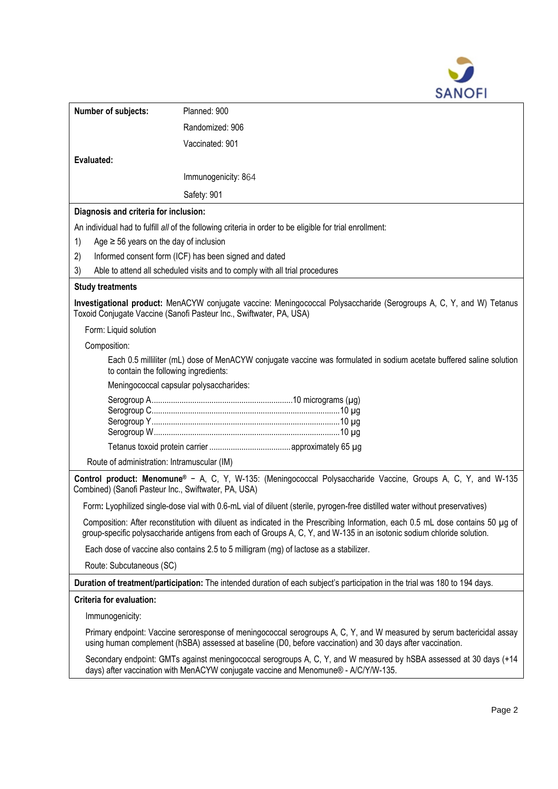

| Number of subjects:                                                                                                                                                                                                                                      | Planned: 900                                                                                                                                                                                              |  |
|----------------------------------------------------------------------------------------------------------------------------------------------------------------------------------------------------------------------------------------------------------|-----------------------------------------------------------------------------------------------------------------------------------------------------------------------------------------------------------|--|
|                                                                                                                                                                                                                                                          | Randomized: 906                                                                                                                                                                                           |  |
|                                                                                                                                                                                                                                                          | Vaccinated: 901                                                                                                                                                                                           |  |
| Evaluated:                                                                                                                                                                                                                                               |                                                                                                                                                                                                           |  |
|                                                                                                                                                                                                                                                          | Immunogenicity: 864                                                                                                                                                                                       |  |
|                                                                                                                                                                                                                                                          | Safety: 901                                                                                                                                                                                               |  |
| Diagnosis and criteria for inclusion:                                                                                                                                                                                                                    |                                                                                                                                                                                                           |  |
| An individual had to fulfill all of the following criteria in order to be eligible for trial enrollment:                                                                                                                                                 |                                                                                                                                                                                                           |  |
| Age $\geq$ 56 years on the day of inclusion<br>1)                                                                                                                                                                                                        |                                                                                                                                                                                                           |  |
| Informed consent form (ICF) has been signed and dated<br>2)                                                                                                                                                                                              |                                                                                                                                                                                                           |  |
| Able to attend all scheduled visits and to comply with all trial procedures<br>3)                                                                                                                                                                        |                                                                                                                                                                                                           |  |
| <b>Study treatments</b>                                                                                                                                                                                                                                  |                                                                                                                                                                                                           |  |
|                                                                                                                                                                                                                                                          | Investigational product: MenACYW conjugate vaccine: Meningococcal Polysaccharide (Serogroups A, C, Y, and W) Tetanus<br>Toxoid Conjugate Vaccine (Sanofi Pasteur Inc., Swiftwater, PA, USA)               |  |
| Form: Liquid solution                                                                                                                                                                                                                                    |                                                                                                                                                                                                           |  |
| Composition:                                                                                                                                                                                                                                             |                                                                                                                                                                                                           |  |
| Each 0.5 milliliter (mL) dose of MenACYW conjugate vaccine was formulated in sodium acetate buffered saline solution<br>to contain the following ingredients:                                                                                            |                                                                                                                                                                                                           |  |
|                                                                                                                                                                                                                                                          | Meningococcal capsular polysaccharides:                                                                                                                                                                   |  |
|                                                                                                                                                                                                                                                          |                                                                                                                                                                                                           |  |
|                                                                                                                                                                                                                                                          |                                                                                                                                                                                                           |  |
| Route of administration: Intramuscular (IM)                                                                                                                                                                                                              |                                                                                                                                                                                                           |  |
| Control product: Menomune® - A, C, Y, W-135: (Meningococcal Polysaccharide Vaccine, Groups A, C, Y, and W-135<br>Combined) (Sanofi Pasteur Inc., Swiftwater, PA, USA)                                                                                    |                                                                                                                                                                                                           |  |
|                                                                                                                                                                                                                                                          | Form: Lyophilized single-dose vial with 0.6-mL vial of diluent (sterile, pyrogen-free distilled water without preservatives)                                                                              |  |
| Composition: After reconstitution with diluent as indicated in the Prescribing Information, each 0.5 mL dose contains 50 µg of<br>group-specific polysaccharide antigens from each of Groups A, C, Y, and W-135 in an isotonic sodium chloride solution. |                                                                                                                                                                                                           |  |
| Each dose of vaccine also contains 2.5 to 5 milligram (mg) of lactose as a stabilizer.                                                                                                                                                                   |                                                                                                                                                                                                           |  |
| Route: Subcutaneous (SC)                                                                                                                                                                                                                                 |                                                                                                                                                                                                           |  |
| Duration of treatment/participation: The intended duration of each subject's participation in the trial was 180 to 194 days.                                                                                                                             |                                                                                                                                                                                                           |  |
| <b>Criteria for evaluation:</b>                                                                                                                                                                                                                          |                                                                                                                                                                                                           |  |
| Immunogenicity:                                                                                                                                                                                                                                          |                                                                                                                                                                                                           |  |
| Primary endpoint: Vaccine seroresponse of meningococcal serogroups A, C, Y, and W measured by serum bactericidal assay<br>using human complement (hSBA) assessed at baseline (D0, before vaccination) and 30 days after vaccination.                     |                                                                                                                                                                                                           |  |
|                                                                                                                                                                                                                                                          | Secondary endpoint: GMTs against meningococcal serogroups A, C, Y, and W measured by hSBA assessed at 30 days (+14<br>days) after vaccination with MenACYW conjugate vaccine and Menomune® - A/C/Y/W-135. |  |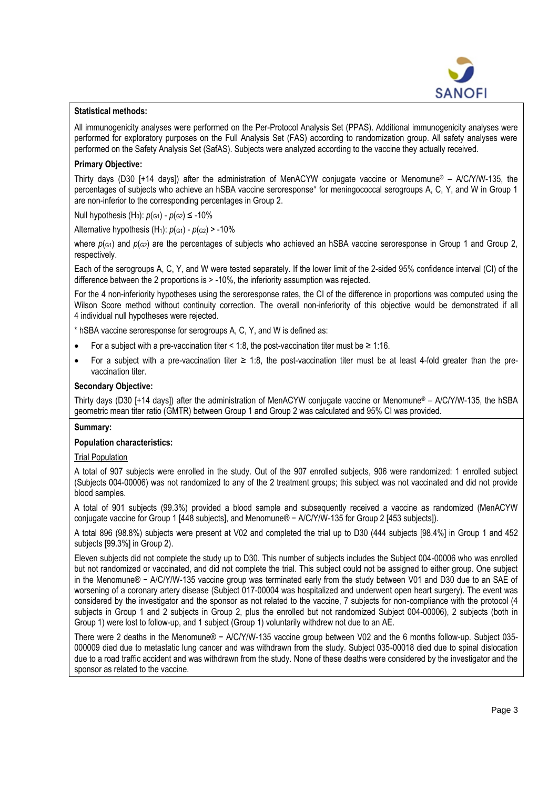

#### **Statistical methods:**

All immunogenicity analyses were performed on the Per-Protocol Analysis Set (PPAS). Additional immunogenicity analyses were performed for exploratory purposes on the Full Analysis Set (FAS) according to randomization group. All safety analyses were performed on the Safety Analysis Set (SafAS). Subjects were analyzed according to the vaccine they actually received.

## **Primary Objective:**

Thirty days (D30 [+14 days]) after the administration of MenACYW conjugate vaccine or Menomune® – A/C/Y/W-135, the percentages of subjects who achieve an hSBA vaccine seroresponse\* for meningococcal serogroups A, C, Y, and W in Group 1 are non-inferior to the corresponding percentages in Group 2.

Null hypothesis (H<sub>0</sub>):  $p_{(G1)}$  -  $p_{(G2)}$  ≤ -10%

Alternative hypothesis  $(H_1)$ :  $p(G_1) - p(G_2)$  > -10%

where  $p_{(G1)}$  and  $p_{(G2)}$  are the percentages of subjects who achieved an hSBA vaccine seroresponse in Group 1 and Group 2, respectively.

Each of the serogroups A, C, Y, and W were tested separately. If the lower limit of the 2-sided 95% confidence interval (CI) of the difference between the 2 proportions is > -10%, the inferiority assumption was rejected.

For the 4 non-inferiority hypotheses using the seroresponse rates, the CI of the difference in proportions was computed using the Wilson Score method without continuity correction. The overall non-inferiority of this objective would be demonstrated if all 4 individual null hypotheses were rejected.

\* hSBA vaccine seroresponse for serogroups A, C, Y, and W is defined as:

- For a subject with a pre-vaccination titer  $\leq$  1:8, the post-vaccination titer must be  $\geq$  1:16.
- For a subject with a pre-vaccination titer  $\geq 1.8$ , the post-vaccination titer must be at least 4-fold greater than the prevaccination titer.

## **Secondary Objective:**

Thirty days (D30 [+14 days]) after the administration of MenACYW conjugate vaccine or Menomune® – A/C/Y/W-135, the hSBA geometric mean titer ratio (GMTR) between Group 1 and Group 2 was calculated and 95% CI was provided.

## **Summary:**

## **Population characteristics:**

# Trial Population

A total of 907 subjects were enrolled in the study. Out of the 907 enrolled subjects, 906 were randomized: 1 enrolled subject (Subjects 004-00006) was not randomized to any of the 2 treatment groups; this subject was not vaccinated and did not provide blood samples.

A total of 901 subjects (99.3%) provided a blood sample and subsequently received a vaccine as randomized (MenACYW conjugate vaccine for Group 1 [448 subjects], and Menomune® − A/C/Y/W-135 for Group 2 [453 subjects]).

A total 896 (98.8%) subjects were present at V02 and completed the trial up to D30 (444 subjects [98.4%] in Group 1 and 452 subjects [99.3%] in Group 2).

Eleven subjects did not complete the study up to D30. This number of subjects includes the Subject 004-00006 who was enrolled but not randomized or vaccinated, and did not complete the trial. This subject could not be assigned to either group. One subject in the Menomune® − A/C/Y/W-135 vaccine group was terminated early from the study between V01 and D30 due to an SAE of worsening of a coronary artery disease (Subject 017-00004 was hospitalized and underwent open heart surgery). The event was considered by the investigator and the sponsor as not related to the vaccine, 7 subjects for non-compliance with the protocol (4 subjects in Group 1 and 2 subjects in Group 2, plus the enrolled but not randomized Subject 004-00006), 2 subjects (both in Group 1) were lost to follow-up, and 1 subject (Group 1) voluntarily withdrew not due to an AE.

There were 2 deaths in the Menomune® − A/C/Y/W-135 vaccine group between V02 and the 6 months follow-up. Subject 035-000009 died due to metastatic lung cancer and was withdrawn from the study. Subject 035-00018 died due to spinal dislocation due to a road traffic accident and was withdrawn from the study. None of these deaths were considered by the investigator and the sponsor as related to the vaccine.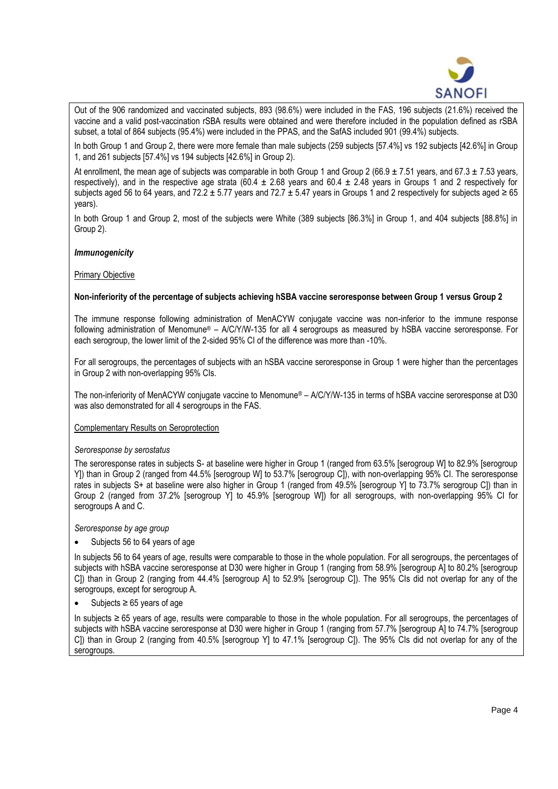

Out of the 906 randomized and vaccinated subjects, 893 (98.6%) were included in the FAS, 196 subjects (21.6%) received the vaccine and a valid post-vaccination rSBA results were obtained and were therefore included in the population defined as rSBA subset, a total of 864 subjects (95.4%) were included in the PPAS, and the SafAS included 901 (99.4%) subjects.

In both Group 1 and Group 2, there were more female than male subjects (259 subjects [57.4%] vs 192 subjects [42.6%] in Group 1, and 261 subjects [57.4%] vs 194 subjects [42.6%] in Group 2).

At enrollment, the mean age of subjects was comparable in both Group 1 and Group 2 (66.9  $\pm$  7.51 years, and 67.3  $\pm$  7.53 years, respectively), and in the respective age strata (60.4  $\pm$  2.68 years and 60.4  $\pm$  2.48 years in Groups 1 and 2 respectively for subjects aged 56 to 64 years, and 72.2  $\pm$  5.77 years and 72.7  $\pm$  5.47 years in Groups 1 and 2 respectively for subjects aged  $\geq$  65 years).

In both Group 1 and Group 2, most of the subjects were White (389 subjects [86.3%] in Group 1, and 404 subjects [88.8%] in Group 2).

# *Immunogenicity*

## Primary Objective

## **Non-inferiority of the percentage of subjects achieving hSBA vaccine seroresponse between Group 1 versus Group 2**

The immune response following administration of MenACYW conjugate vaccine was non-inferior to the immune response following administration of Menomune® – A/C/Y/W-135 for all 4 serogroups as measured by hSBA vaccine seroresponse. For each serogroup, the lower limit of the 2-sided 95% CI of the difference was more than -10%.

For all serogroups, the percentages of subjects with an hSBA vaccine seroresponse in Group 1 were higher than the percentages in Group 2 with non-overlapping 95% CIs.

The non-inferiority of MenACYW conjugate vaccine to Menomune® – A/C/Y/W-135 in terms of hSBA vaccine seroresponse at D30 was also demonstrated for all 4 serogroups in the FAS.

## Complementary Results on Seroprotection

## *Seroresponse by serostatus*

The seroresponse rates in subjects S- at baseline were higher in Group 1 (ranged from 63.5% [serogroup W] to 82.9% [serogroup Y]) than in Group 2 (ranged from 44.5% [serogroup W] to 53.7% [serogroup C]), with non-overlapping 95% CI. The seroresponse rates in subjects S+ at baseline were also higher in Group 1 (ranged from 49.5% [serogroup Y] to 73.7% serogroup C]) than in Group 2 (ranged from 37.2% [serogroup Y] to 45.9% [serogroup W]) for all serogroups, with non-overlapping 95% CI for serogroups A and C.

*Seroresponse by age group*

• Subjects 56 to 64 years of age

In subjects 56 to 64 years of age, results were comparable to those in the whole population. For all serogroups, the percentages of subjects with hSBA vaccine seroresponse at D30 were higher in Group 1 (ranging from 58.9% [serogroup A] to 80.2% [serogroup C]) than in Group 2 (ranging from 44.4% [serogroup A] to 52.9% [serogroup C]). The 95% CIs did not overlap for any of the serogroups, except for serogroup A.

Subjects  $≥ 65$  years of age

In subjects ≥ 65 years of age, results were comparable to those in the whole population. For all serogroups, the percentages of subjects with hSBA vaccine seroresponse at D30 were higher in Group 1 (ranging from 57.7% [serogroup A] to 74.7% [serogroup C]) than in Group 2 (ranging from 40.5% [serogroup Y] to 47.1% [serogroup C]). The 95% CIs did not overlap for any of the serogroups.